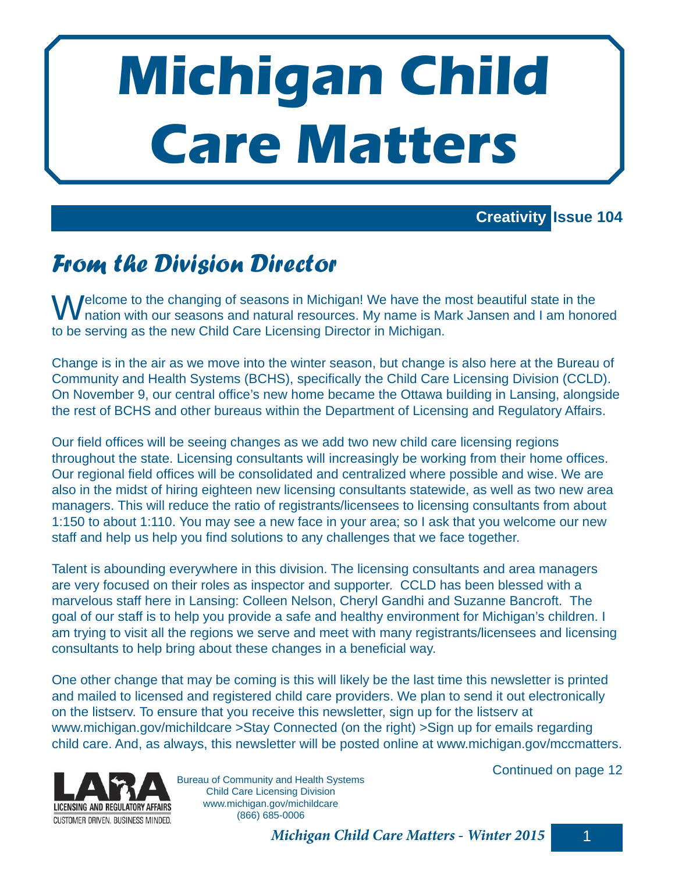# **Michigan Child Care Matters**

## **Creativity Issue 104**

# *From the Division Director*

 $\blacksquare$  Pelcome to the changing of seasons in Michigan! We have the most beautiful state in the nation with our seasons and natural resources. My name is Mark Jansen and I am honored to be serving as the new Child Care Licensing Director in Michigan.

Change is in the air as we move into the winter season, but change is also here at the Bureau of Community and Health Systems (BCHS), specifically the Child Care Licensing Division (CCLD). On November 9, our central office's new home became the Ottawa building in Lansing, alongside the rest of BCHS and other bureaus within the Department of Licensing and Regulatory Affairs.

Our field offices will be seeing changes as we add two new child care licensing regions throughout the state. Licensing consultants will increasingly be working from their home offices. Our regional field offices will be consolidated and centralized where possible and wise. We are also in the midst of hiring eighteen new licensing consultants statewide, as well as two new area managers. This will reduce the ratio of registrants/licensees to licensing consultants from about 1:150 to about 1:110. You may see a new face in your area; so I ask that you welcome our new staff and help us help you find solutions to any challenges that we face together.

Talent is abounding everywhere in this division. The licensing consultants and area managers are very focused on their roles as inspector and supporter. CCLD has been blessed with a marvelous staff here in Lansing: Colleen Nelson, Cheryl Gandhi and Suzanne Bancroft. The goal of our staff is to help you provide a safe and healthy environment for Michigan's children. I am trying to visit all the regions we serve and meet with many registrants/licensees and licensing consultants to help bring about these changes in a beneficial way.

One other change that may be coming is this will likely be the last time this newsletter is printed and mailed to licensed and registered child care providers. We plan to send it out electronically on the listserv. To ensure that you receive this newsletter, sign up for the listserv at www.michigan.gov/michildcare >Stay Connected (on the right) >Sign up for emails regarding child care. And, as always, this newsletter will be posted online at www.michigan.gov/mccmatters.



Bureau of Community and Health Systems Child Care Licensing Division www.michigan.gov/michildcare (866) 685-0006

Continued on page 12

*Michigan Child Care Matters - Winter 2015* 1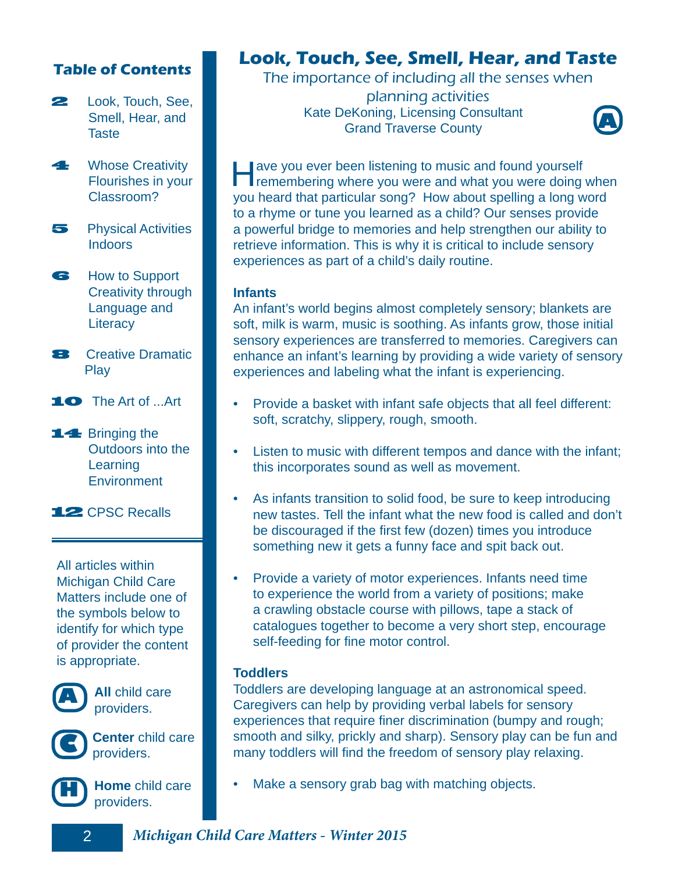## **Table of Contents**

- **22** Look, Touch, See, Smell, Hear, and **Taste**
- **4** Whose Creativity Flourishes in your Classroom?
- **5** Physical Activities **Indoors**

6 How to Support Creativity through Language and **Literacy** 

- **8 Creative Dramatic** Play
- 10 The Art of ...Art
- 14 Bringing the Outdoors into the **Learning Environment**

12 CPSC Recalls

All articles within Michigan Child Care Matters include one of the symbols below to identify for which type of provider the content is appropriate.



**A All** child care providers.



**Center** child care **providers**.



**Home** child care providers.

## **Look, Touch, See, Smell, Hear, and Taste**

The importance of including all the senses when

planning activities Kate DeKoning, Licensing Consultant Grand Traverse County



**Have you ever been listening to music and found yourself remembering where you were and what you were doing when** you heard that particular song? How about spelling a long word to a rhyme or tune you learned as a child? Our senses provide a powerful bridge to memories and help strengthen our ability to retrieve information. This is why it is critical to include sensory experiences as part of a child's daily routine.

#### **Infants**

An infant's world begins almost completely sensory; blankets are soft, milk is warm, music is soothing. As infants grow, those initial sensory experiences are transferred to memories. Caregivers can enhance an infant's learning by providing a wide variety of sensory experiences and labeling what the infant is experiencing.

- Provide a basket with infant safe objects that all feel different: soft, scratchy, slippery, rough, smooth.
- Listen to music with different tempos and dance with the infant; this incorporates sound as well as movement.
- As infants transition to solid food, be sure to keep introducing new tastes. Tell the infant what the new food is called and don't be discouraged if the first few (dozen) times you introduce something new it gets a funny face and spit back out.
- Provide a variety of motor experiences. Infants need time to experience the world from a variety of positions; make a crawling obstacle course with pillows, tape a stack of catalogues together to become a very short step, encourage self-feeding for fine motor control.

#### **Toddlers**

Toddlers are developing language at an astronomical speed. Caregivers can help by providing verbal labels for sensory experiences that require finer discrimination (bumpy and rough; smooth and silky, prickly and sharp). Sensory play can be fun and many toddlers will find the freedom of sensory play relaxing.

Make a sensory grab bag with matching objects.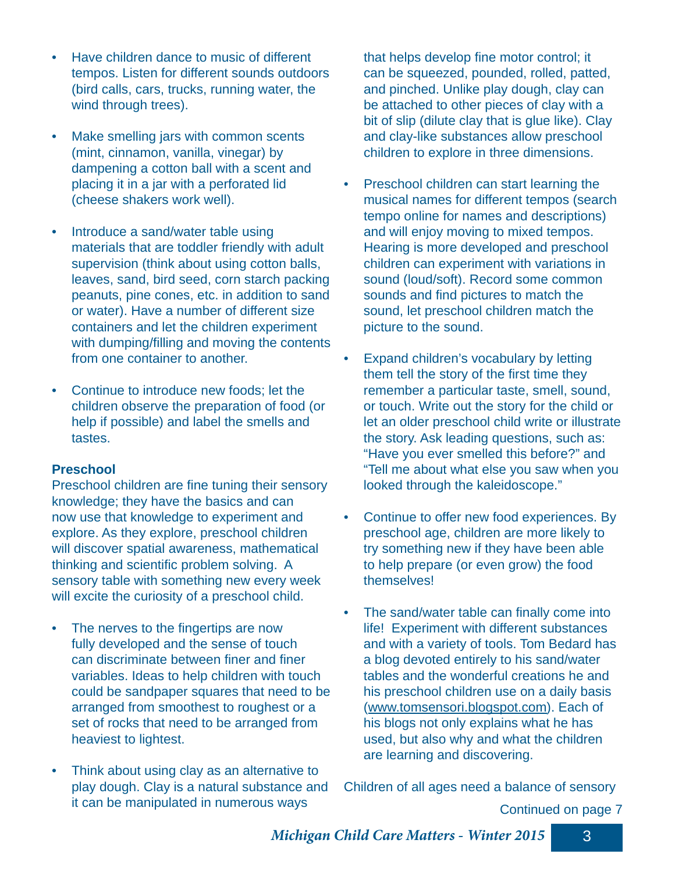- Have children dance to music of different tempos. Listen for different sounds outdoors (bird calls, cars, trucks, running water, the wind through trees).
- Make smelling jars with common scents (mint, cinnamon, vanilla, vinegar) by dampening a cotton ball with a scent and placing it in a jar with a perforated lid (cheese shakers work well).
- Introduce a sand/water table using materials that are toddler friendly with adult supervision (think about using cotton balls, leaves, sand, bird seed, corn starch packing peanuts, pine cones, etc. in addition to sand or water). Have a number of different size containers and let the children experiment with dumping/filling and moving the contents from one container to another.
- Continue to introduce new foods; let the children observe the preparation of food (or help if possible) and label the smells and tastes.

## **Preschool**

Preschool children are fine tuning their sensory knowledge; they have the basics and can now use that knowledge to experiment and explore. As they explore, preschool children will discover spatial awareness, mathematical thinking and scientific problem solving. A sensory table with something new every week will excite the curiosity of a preschool child.

- The nerves to the fingertips are now fully developed and the sense of touch can discriminate between finer and finer variables. Ideas to help children with touch could be sandpaper squares that need to be arranged from smoothest to roughest or a set of rocks that need to be arranged from heaviest to lightest.
- Think about using clay as an alternative to play dough. Clay is a natural substance and it can be manipulated in numerous ways

that helps develop fine motor control; it can be squeezed, pounded, rolled, patted, and pinched. Unlike play dough, clay can be attached to other pieces of clay with a bit of slip (dilute clay that is glue like). Clay and clay-like substances allow preschool children to explore in three dimensions.

- Preschool children can start learning the musical names for different tempos (search tempo online for names and descriptions) and will enjoy moving to mixed tempos. Hearing is more developed and preschool children can experiment with variations in sound (loud/soft). Record some common sounds and find pictures to match the sound, let preschool children match the picture to the sound.
- Expand children's vocabulary by letting them tell the story of the first time they remember a particular taste, smell, sound, or touch. Write out the story for the child or let an older preschool child write or illustrate the story. Ask leading questions, such as: "Have you ever smelled this before?" and "Tell me about what else you saw when you looked through the kaleidoscope."
- Continue to offer new food experiences. By preschool age, children are more likely to try something new if they have been able to help prepare (or even grow) the food themselves!
- The sand/water table can finally come into life! Experiment with different substances and with a variety of tools. Tom Bedard has a blog devoted entirely to his sand/water tables and the wonderful creations he and his preschool children use on a daily basis (www.tomsensori.blogspot.com). Each of his blogs not only explains what he has used, but also why and what the children are learning and discovering.

Children of all ages need a balance of sensory

Continued on page 7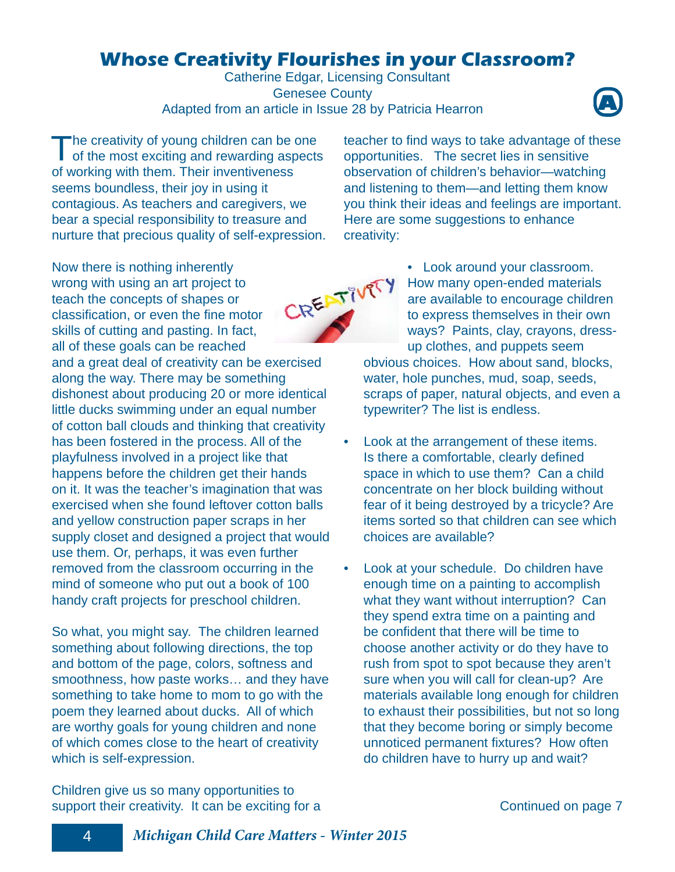## **Whose Creativity Flourishes in your Classroom?**

Catherine Edgar, Licensing Consultant Genesee County Adapted from an article in Issue 28 by Patricia Hearron



The creativity of young children can be one<br>of the most exciting and rewarding aspects of working with them. Their inventiveness seems boundless, their joy in using it contagious. As teachers and caregivers, we bear a special responsibility to treasure and nurture that precious quality of self-expression.

Now there is nothing inherently wrong with using an art project to teach the concepts of shapes or classification, or even the fine motor skills of cutting and pasting. In fact, all of these goals can be reached and a great deal of creativity can be exercised along the way. There may be something dishonest about producing 20 or more identical little ducks swimming under an equal number of cotton ball clouds and thinking that creativity has been fostered in the process. All of the playfulness involved in a project like that happens before the children get their hands on it. It was the teacher's imagination that was exercised when she found leftover cotton balls and yellow construction paper scraps in her supply closet and designed a project that would use them. Or, perhaps, it was even further removed from the classroom occurring in the mind of someone who put out a book of 100 handy craft projects for preschool children.

So what, you might say. The children learned something about following directions, the top and bottom of the page, colors, softness and smoothness, how paste works… and they have something to take home to mom to go with the poem they learned about ducks. All of which are worthy goals for young children and none of which comes close to the heart of creativity which is self-expression.

Children give us so many opportunities to support their creativity. It can be exciting for a teacher to find ways to take advantage of these opportunities. The secret lies in sensitive observation of children's behavior—watching and listening to them—and letting them know you think their ideas and feelings are important. Here are some suggestions to enhance creativity:



• Look around your classroom. How many open-ended materials are available to encourage children to express themselves in their own ways? Paints, clay, crayons, dressup clothes, and puppets seem obvious choices. How about sand, blocks, water, hole punches, mud, soap, seeds, scraps of paper, natural objects, and even a typewriter? The list is endless.

- Look at the arrangement of these items. Is there a comfortable, clearly defined space in which to use them? Can a child concentrate on her block building without fear of it being destroyed by a tricycle? Are items sorted so that children can see which choices are available?
- Look at your schedule. Do children have enough time on a painting to accomplish what they want without interruption? Can they spend extra time on a painting and be confident that there will be time to choose another activity or do they have to rush from spot to spot because they aren't sure when you will call for clean-up? Are materials available long enough for children to exhaust their possibilities, but not so long that they become boring or simply become unnoticed permanent fixtures? How often do children have to hurry up and wait?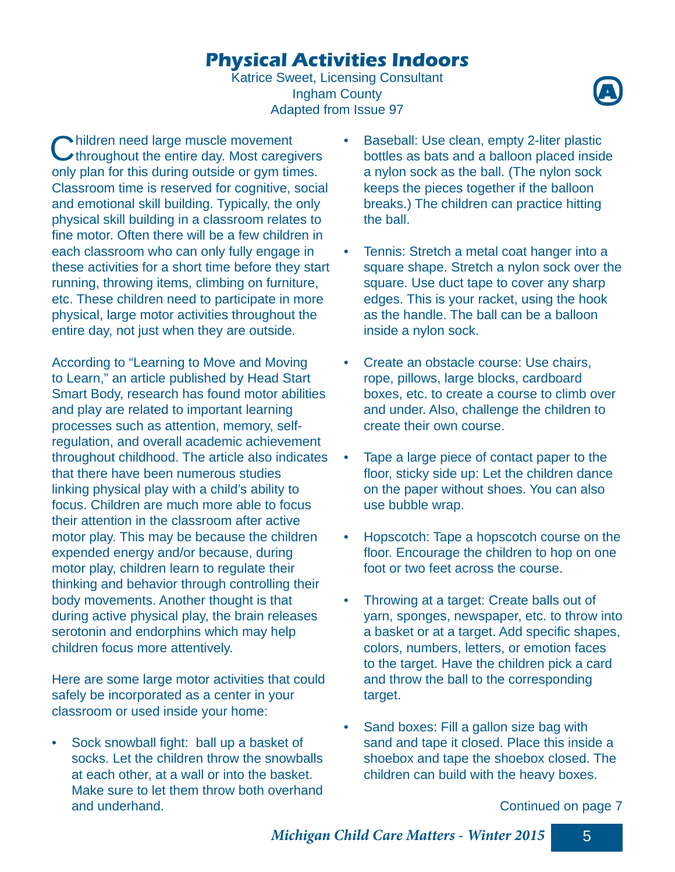## **Physical Activities Indoors**

Katrice Sweet, Licensing Consultant Ingham County Adapted from Issue 97



Children need large muscle movement<br>
Cthroughout the entire day. Most caregivers only plan for this during outside or gym times. Classroom time is reserved for cognitive, social and emotional skill building. Typically, the only physical skill building in a classroom relates to fine motor. Often there will be a few children in each classroom who can only fully engage in these activities for a short time before they start running, throwing items, climbing on furniture, etc. These children need to participate in more physical, large motor activities throughout the entire day, not just when they are outside.

According to "Learning to Move and Moving to Learn," an article published by Head Start Smart Body, research has found motor abilities and play are related to important learning processes such as attention, memory, selfregulation, and overall academic achievement throughout childhood. The article also indicates that there have been numerous studies linking physical play with a child's ability to focus. Children are much more able to focus their attention in the classroom after active motor play. This may be because the children expended energy and/or because, during motor play, children learn to regulate their thinking and behavior through controlling their body movements. Another thought is that during active physical play, the brain releases serotonin and endorphins which may help children focus more attentively.

Here are some large motor activities that could safely be incorporated as a center in your classroom or used inside your home:

Sock snowball fight: ball up a basket of socks. Let the children throw the snowballs at each other, at a wall or into the basket. Make sure to let them throw both overhand and underhand.

- Baseball: Use clean, empty 2-liter plastic bottles as bats and a balloon placed inside a nylon sock as the ball. (The nylon sock keeps the pieces together if the balloon breaks.) The children can practice hitting the ball.
- Tennis: Stretch a metal coat hanger into a square shape. Stretch a nylon sock over the square. Use duct tape to cover any sharp edges. This is your racket, using the hook as the handle. The ball can be a balloon inside a nylon sock.
- Create an obstacle course: Use chairs, rope, pillows, large blocks, cardboard boxes, etc. to create a course to climb over and under. Also, challenge the children to create their own course.
- Tape a large piece of contact paper to the floor, sticky side up: Let the children dance on the paper without shoes. You can also use bubble wrap.
- Hopscotch: Tape a hopscotch course on the floor. Encourage the children to hop on one foot or two feet across the course.
- Throwing at a target: Create balls out of yarn, sponges, newspaper, etc. to throw into a basket or at a target. Add specific shapes, colors, numbers, letters, or emotion faces to the target. Have the children pick a card and throw the ball to the corresponding target.
- Sand boxes: Fill a gallon size bag with sand and tape it closed. Place this inside a shoebox and tape the shoebox closed. The children can build with the heavy boxes.

Continued on page 7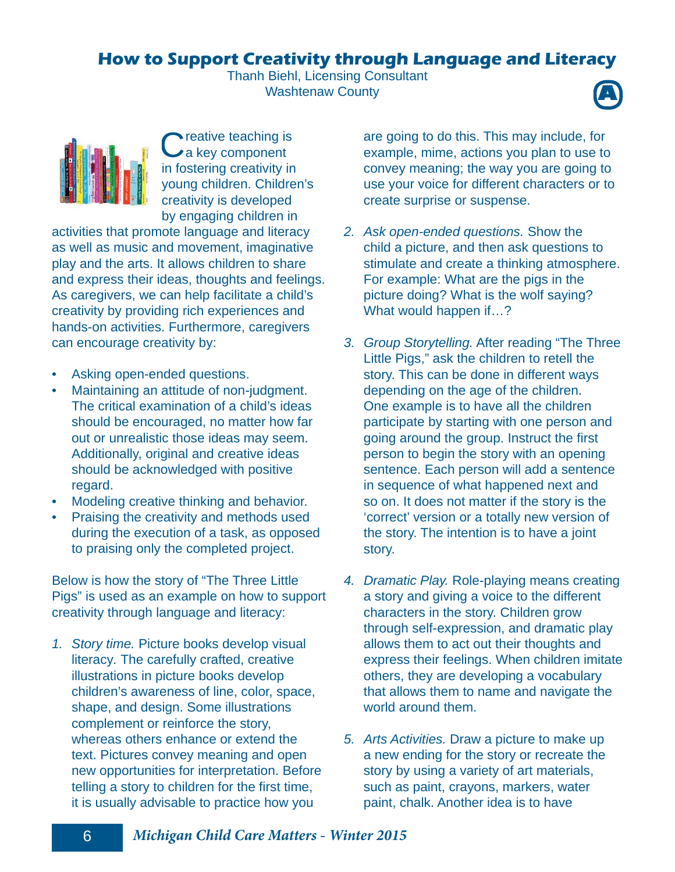## **How to Support Creativity through Language and Literacy**

Thanh Biehl, Licensing Consultant Washtenaw County





Creative teaching is<br>Ca key component in fostering creativity in young children. Children's creativity is developed by engaging children in

activities that promote language and literacy as well as music and movement, imaginative play and the arts. It allows children to share and express their ideas, thoughts and feelings. As caregivers, we can help facilitate a child's creativity by providing rich experiences and hands-on activities. Furthermore, caregivers can encourage creativity by:

- Asking open-ended questions.
- Maintaining an attitude of non-judgment. The critical examination of a child's ideas should be encouraged, no matter how far out or unrealistic those ideas may seem. Additionally, original and creative ideas should be acknowledged with positive regard.
- Modeling creative thinking and behavior.
- Praising the creativity and methods used during the execution of a task, as opposed to praising only the completed project.

Below is how the story of "The Three Little Pigs" is used as an example on how to support creativity through language and literacy:

*1. Story time.* Picture books develop visual literacy*.* The carefully crafted, creative illustrations in picture books develop children's awareness of line, color, space, shape, and design. Some illustrations complement or reinforce the story, whereas others enhance or extend the text. Pictures convey meaning and open new opportunities for interpretation. Before telling a story to children for the first time, it is usually advisable to practice how you

are going to do this. This may include, for example, mime, actions you plan to use to convey meaning; the way you are going to use your voice for different characters or to create surprise or suspense.

- *2. Ask open-ended questions.* Show the child a picture, and then ask questions to stimulate and create a thinking atmosphere. For example: What are the pigs in the picture doing? What is the wolf saying? What would happen if…?
- *3. Group Storytelling.* After reading "The Three Little Pigs," ask the children to retell the story. This can be done in different ways depending on the age of the children. One example is to have all the children participate by starting with one person and going around the group. Instruct the first person to begin the story with an opening sentence. Each person will add a sentence in sequence of what happened next and so on. It does not matter if the story is the 'correct' version or a totally new version of the story. The intention is to have a joint story.
- *4. Dramatic Play.* Role-playing means creating a story and giving a voice to the different characters in the story. Children grow through self-expression, and dramatic play allows them to act out their thoughts and express their feelings. When children imitate others, they are developing a vocabulary that allows them to name and navigate the world around them.
- *5. Arts Activities.* Draw a picture to make up a new ending for the story or recreate the story by using a variety of art materials, such as paint, crayons, markers, water paint, chalk. Another idea is to have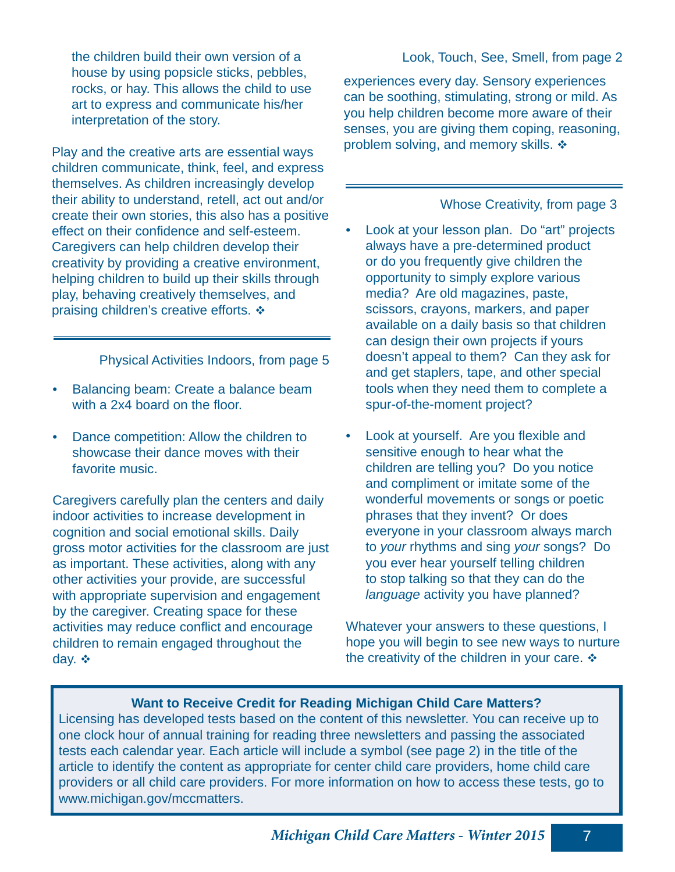the children build their own version of a house by using popsicle sticks, pebbles, rocks, or hay. This allows the child to use art to express and communicate his/her interpretation of the story.

Play and the creative arts are essential ways children communicate, think, feel, and express themselves. As children increasingly develop their ability to understand, retell, act out and/or create their own stories, this also has a positive effect on their confidence and self-esteem. Caregivers can help children develop their creativity by providing a creative environment, helping children to build up their skills through play, behaving creatively themselves, and praising children's creative efforts.  $\triangle$ 

Physical Activities Indoors, from page 5

- Balancing beam: Create a balance beam with a  $2x4$  board on the floor.
- Dance competition: Allow the children to showcase their dance moves with their favorite music.

Caregivers carefully plan the centers and daily indoor activities to increase development in cognition and social emotional skills. Daily gross motor activities for the classroom are just as important. These activities, along with any other activities your provide, are successful with appropriate supervision and engagement by the caregiver. Creating space for these activities may reduce conflict and encourage children to remain engaged throughout the day. ❖

experiences every day. Sensory experiences can be soothing, stimulating, strong or mild. As you help children become more aware of their senses, you are giving them coping, reasoning, problem solving, and memory skills.  $\div$ 

#### Whose Creativity, from page 3

- Look at your lesson plan. Do "art" projects always have a pre-determined product or do you frequently give children the opportunity to simply explore various media? Are old magazines, paste, scissors, crayons, markers, and paper available on a daily basis so that children can design their own projects if yours doesn't appeal to them? Can they ask for and get staplers, tape, and other special tools when they need them to complete a spur-of-the-moment project?
- Look at yourself. Are you flexible and sensitive enough to hear what the children are telling you? Do you notice and compliment or imitate some of the wonderful movements or songs or poetic phrases that they invent? Or does everyone in your classroom always march to *your* rhythms and sing *your* songs? Do you ever hear yourself telling children to stop talking so that they can do the *language* activity you have planned?

Whatever your answers to these questions, I hope you will begin to see new ways to nurture the creativity of the children in your care.  $\triangle$ 

## **Want to Receive Credit for Reading Michigan Child Care Matters?**

Licensing has developed tests based on the content of this newsletter. You can receive up to one clock hour of annual training for reading three newsletters and passing the associated tests each calendar year. Each article will include a symbol (see page 2) in the title of the article to identify the content as appropriate for center child care providers, home child care providers or all child care providers. For more information on how to access these tests, go to www.michigan.gov/mccmatters.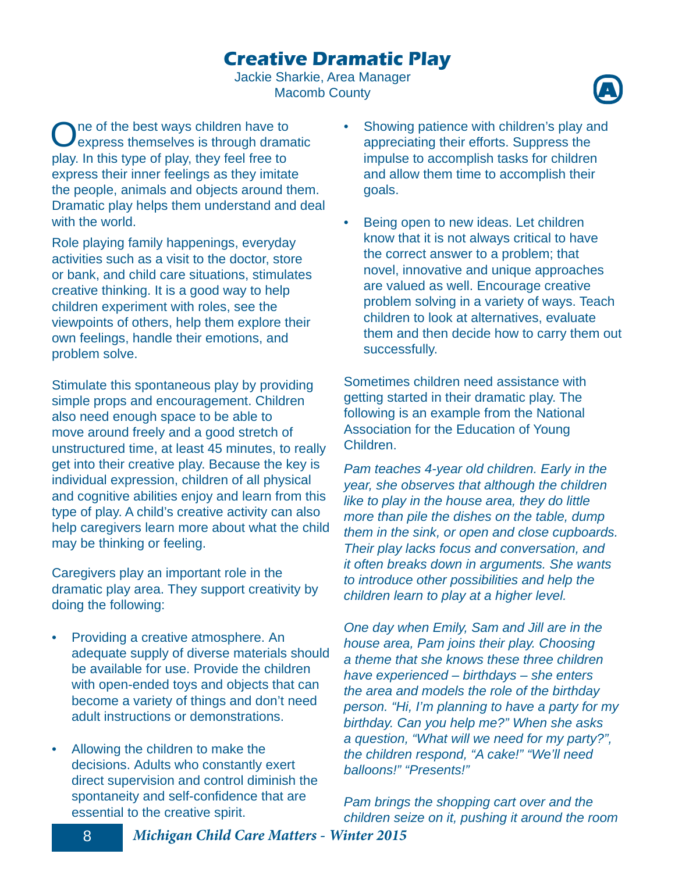## **Creative Dramatic Play**

Jackie Sharkie, Area Manager Macomb County



One of the best ways children have to<br>
express themselves is through dramatic play. In this type of play, they feel free to express their inner feelings as they imitate the people, animals and objects around them. Dramatic play helps them understand and deal with the world.

Role playing family happenings, everyday activities such as a visit to the doctor, store or bank, and child care situations, stimulates creative thinking. It is a good way to help children experiment with roles, see the viewpoints of others, help them explore their own feelings, handle their emotions, and problem solve.

Stimulate this spontaneous play by providing simple props and encouragement. Children also need enough space to be able to move around freely and a good stretch of unstructured time, at least 45 minutes, to really get into their creative play. Because the key is individual expression, children of all physical and cognitive abilities enjoy and learn from this type of play. A child's creative activity can also help caregivers learn more about what the child may be thinking or feeling.

Caregivers play an important role in the dramatic play area. They support creativity by doing the following:

- Providing a creative atmosphere. An adequate supply of diverse materials should be available for use. Provide the children with open-ended toys and objects that can become a variety of things and don't need adult instructions or demonstrations.
- Allowing the children to make the decisions. Adults who constantly exert direct supervision and control diminish the spontaneity and self-confidence that are essential to the creative spirit.
- Showing patience with children's play and appreciating their efforts. Suppress the impulse to accomplish tasks for children and allow them time to accomplish their goals.
- Being open to new ideas. Let children know that it is not always critical to have the correct answer to a problem; that novel, innovative and unique approaches are valued as well. Encourage creative problem solving in a variety of ways. Teach children to look at alternatives, evaluate them and then decide how to carry them out successfully.

Sometimes children need assistance with getting started in their dramatic play. The following is an example from the National Association for the Education of Young Children.

*Pam teaches 4-year old children. Early in the year, she observes that although the children like to play in the house area, they do little more than pile the dishes on the table, dump them in the sink, or open and close cupboards. Their play lacks focus and conversation, and it often breaks down in arguments. She wants to introduce other possibilities and help the children learn to play at a higher level.* 

*One day when Emily, Sam and Jill are in the house area, Pam joins their play. Choosing a theme that she knows these three children have experienced – birthdays – she enters the area and models the role of the birthday person. "Hi, I'm planning to have a party for my birthday. Can you help me?" When she asks a question, "What will we need for my party?", the children respond, "A cake!" "We'll need balloons!" "Presents!"*

*Pam brings the shopping cart over and the children seize on it, pushing it around the room*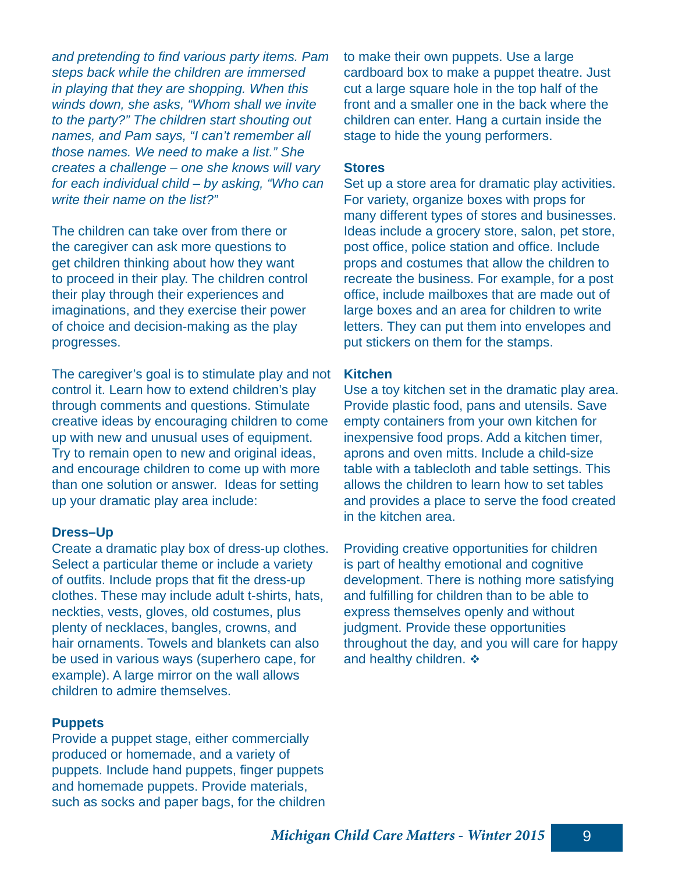*and pretending to find various party items. Pam steps back while the children are immersed in playing that they are shopping. When this winds down, she asks, "Whom shall we invite to the party?" The children start shouting out names, and Pam says, "I can't remember all those names. We need to make a list." She creates a challenge – one she knows will vary for each individual child – by asking, "Who can write their name on the list?"*

The children can take over from there or the caregiver can ask more questions to get children thinking about how they want to proceed in their play. The children control their play through their experiences and imaginations, and they exercise their power of choice and decision-making as the play progresses.

The caregiver's goal is to stimulate play and not control it. Learn how to extend children's play through comments and questions. Stimulate creative ideas by encouraging children to come up with new and unusual uses of equipment. Try to remain open to new and original ideas, and encourage children to come up with more than one solution or answer. Ideas for setting up your dramatic play area include:

#### **Dress–Up**

Create a dramatic play box of dress-up clothes. Select a particular theme or include a variety of outfits. Include props that fit the dress-up clothes. These may include adult t-shirts, hats, neckties, vests, gloves, old costumes, plus plenty of necklaces, bangles, crowns, and hair ornaments. Towels and blankets can also be used in various ways (superhero cape, for example). A large mirror on the wall allows children to admire themselves.

### **Puppets**

Provide a puppet stage, either commercially produced or homemade, and a variety of puppets. Include hand puppets, finger puppets and homemade puppets. Provide materials, such as socks and paper bags, for the children to make their own puppets. Use a large cardboard box to make a puppet theatre. Just cut a large square hole in the top half of the front and a smaller one in the back where the children can enter. Hang a curtain inside the stage to hide the young performers.

#### **Stores**

Set up a store area for dramatic play activities. For variety, organize boxes with props for many different types of stores and businesses. Ideas include a grocery store, salon, pet store, post office, police station and office. Include props and costumes that allow the children to recreate the business. For example, for a post office, include mailboxes that are made out of large boxes and an area for children to write letters. They can put them into envelopes and put stickers on them for the stamps.

#### **Kitchen**

Use a toy kitchen set in the dramatic play area. Provide plastic food, pans and utensils. Save empty containers from your own kitchen for inexpensive food props. Add a kitchen timer, aprons and oven mitts. Include a child-size table with a tablecloth and table settings. This allows the children to learn how to set tables and provides a place to serve the food created in the kitchen area.

Providing creative opportunities for children is part of healthy emotional and cognitive development. There is nothing more satisfying and fulfilling for children than to be able to express themselves openly and without judgment. Provide these opportunities throughout the day, and you will care for happy and healthy children.  $\div$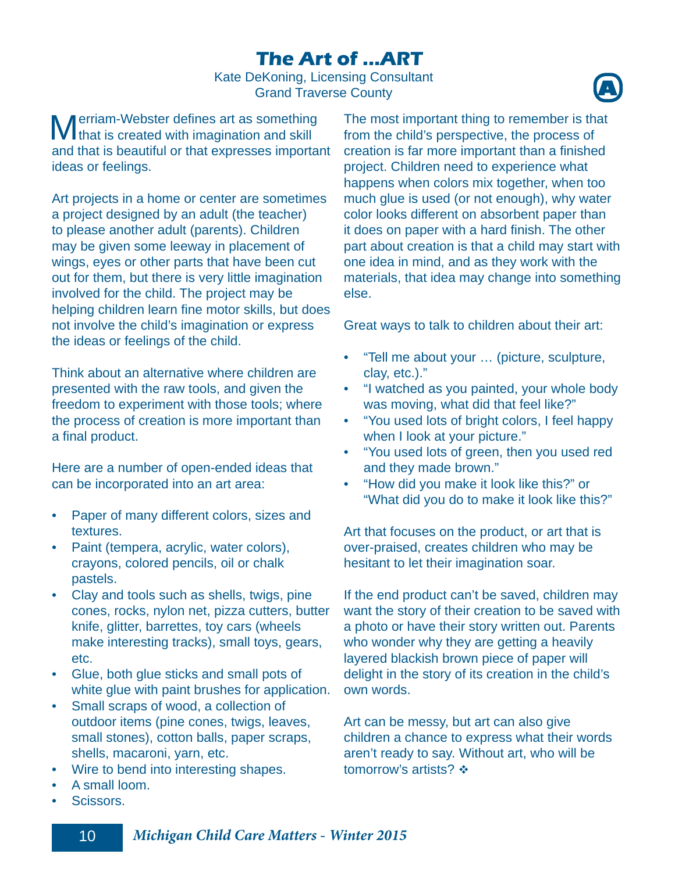## **The Art of ...ART**

Kate DeKoning, Licensing Consultant Grand Traverse County



**Merriam-Webster defines art as something**<br>that is created with imagination and skill and that is beautiful or that expresses important ideas or feelings.

Art projects in a home or center are sometimes a project designed by an adult (the teacher) to please another adult (parents). Children may be given some leeway in placement of wings, eyes or other parts that have been cut out for them, but there is very little imagination involved for the child. The project may be helping children learn fine motor skills, but does not involve the child's imagination or express the ideas or feelings of the child.

Think about an alternative where children are presented with the raw tools, and given the freedom to experiment with those tools; where the process of creation is more important than a final product.

Here are a number of open-ended ideas that can be incorporated into an art area:

- Paper of many different colors, sizes and textures.
- Paint (tempera, acrylic, water colors), crayons, colored pencils, oil or chalk pastels.
- Clay and tools such as shells, twigs, pine cones, rocks, nylon net, pizza cutters, butter knife, glitter, barrettes, toy cars (wheels make interesting tracks), small toys, gears, etc.
- Glue, both glue sticks and small pots of white glue with paint brushes for application.
- Small scraps of wood, a collection of outdoor items (pine cones, twigs, leaves, small stones), cotton balls, paper scraps, shells, macaroni, yarn, etc.
- Wire to bend into interesting shapes.
- A small loom.
- Scissors.

The most important thing to remember is that from the child's perspective, the process of creation is far more important than a finished project. Children need to experience what happens when colors mix together, when too much glue is used (or not enough), why water color looks different on absorbent paper than it does on paper with a hard finish. The other part about creation is that a child may start with one idea in mind, and as they work with the materials, that idea may change into something else.

Great ways to talk to children about their art:

- "Tell me about your … (picture, sculpture, clay, etc.)."
- "I watched as you painted, your whole body was moving, what did that feel like?"
- "You used lots of bright colors, I feel happy when I look at your picture."
- "You used lots of green, then you used red and they made brown."
- "How did you make it look like this?" or "What did you do to make it look like this?"

Art that focuses on the product, or art that is over-praised, creates children who may be hesitant to let their imagination soar.

If the end product can't be saved, children may want the story of their creation to be saved with a photo or have their story written out. Parents who wonder why they are getting a heavily layered blackish brown piece of paper will delight in the story of its creation in the child's own words.

Art can be messy, but art can also give children a chance to express what their words aren't ready to say. Without art, who will be tomorrow's artists? ❖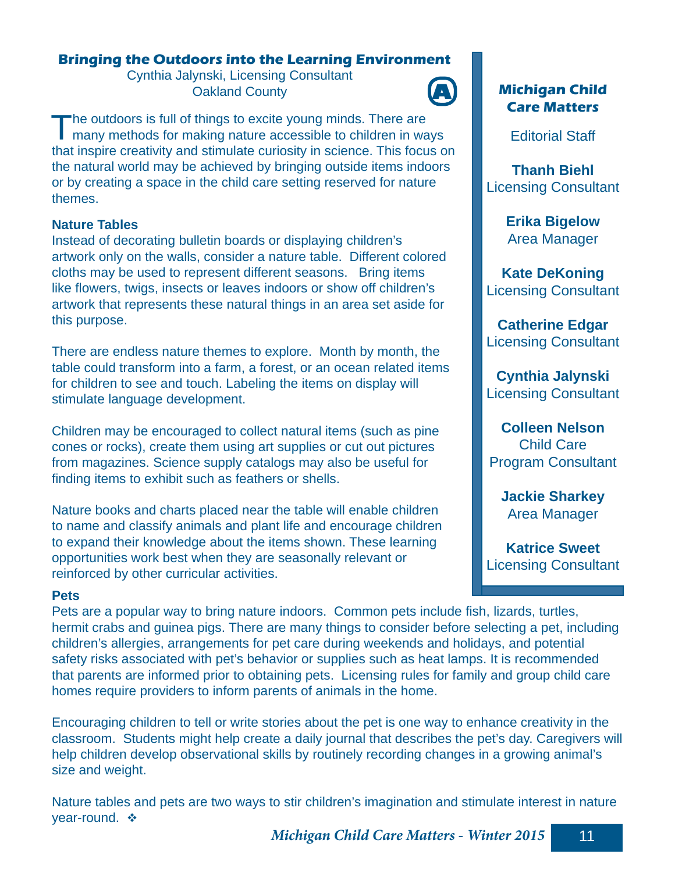## **Bringing the Outdoors into the Learning Environment**

Cynthia Jalynski, Licensing Consultant **Oakland County** 



The outdoors is full of things to excite young minds. There are many methods for making nature accessible to children in ways that inspire creativity and stimulate curiosity in science. This focus on the natural world may be achieved by bringing outside items indoors or by creating a space in the child care setting reserved for nature themes.

## **Nature Tables**

Instead of decorating bulletin boards or displaying children's artwork only on the walls, consider a nature table. Different colored cloths may be used to represent different seasons. Bring items like flowers, twigs, insects or leaves indoors or show off children's artwork that represents these natural things in an area set aside for this purpose.

There are endless nature themes to explore. Month by month, the table could transform into a farm, a forest, or an ocean related items for children to see and touch. Labeling the items on display will stimulate language development.

Children may be encouraged to collect natural items (such as pine cones or rocks), create them using art supplies or cut out pictures from magazines. Science supply catalogs may also be useful for finding items to exhibit such as feathers or shells.

Nature books and charts placed near the table will enable children to name and classify animals and plant life and encourage children to expand their knowledge about the items shown. These learning opportunities work best when they are seasonally relevant or reinforced by other curricular activities.

## **Pets**

Pets are a popular way to bring nature indoors. Common pets include fish, lizards, turtles, hermit crabs and guinea pigs. There are many things to consider before selecting a pet, including children's allergies, arrangements for pet care during weekends and holidays, and potential safety risks associated with pet's behavior or supplies such as heat lamps. It is recommended that parents are informed prior to obtaining pets. Licensing rules for family and group child care homes require providers to inform parents of animals in the home.

Encouraging children to tell or write stories about the pet is one way to enhance creativity in the classroom. Students might help create a daily journal that describes the pet's day. Caregivers will help children develop observational skills by routinely recording changes in a growing animal's size and weight.

Nature tables and pets are two ways to stir children's imagination and stimulate interest in nature year-round. ❖

**Care Matters**

**Michigan Child**

Editorial Staff

**Thanh Biehl** Licensing Consultant

> **Erika Bigelow** Area Manager

**Kate DeKoning** Licensing Consultant

**Catherine Edgar** Licensing Consultant

**Cynthia Jalynski** Licensing Consultant

**Colleen Nelson** Child Care Program Consultant

**Jackie Sharkey** Area Manager

**Katrice Sweet** Licensing Consultant